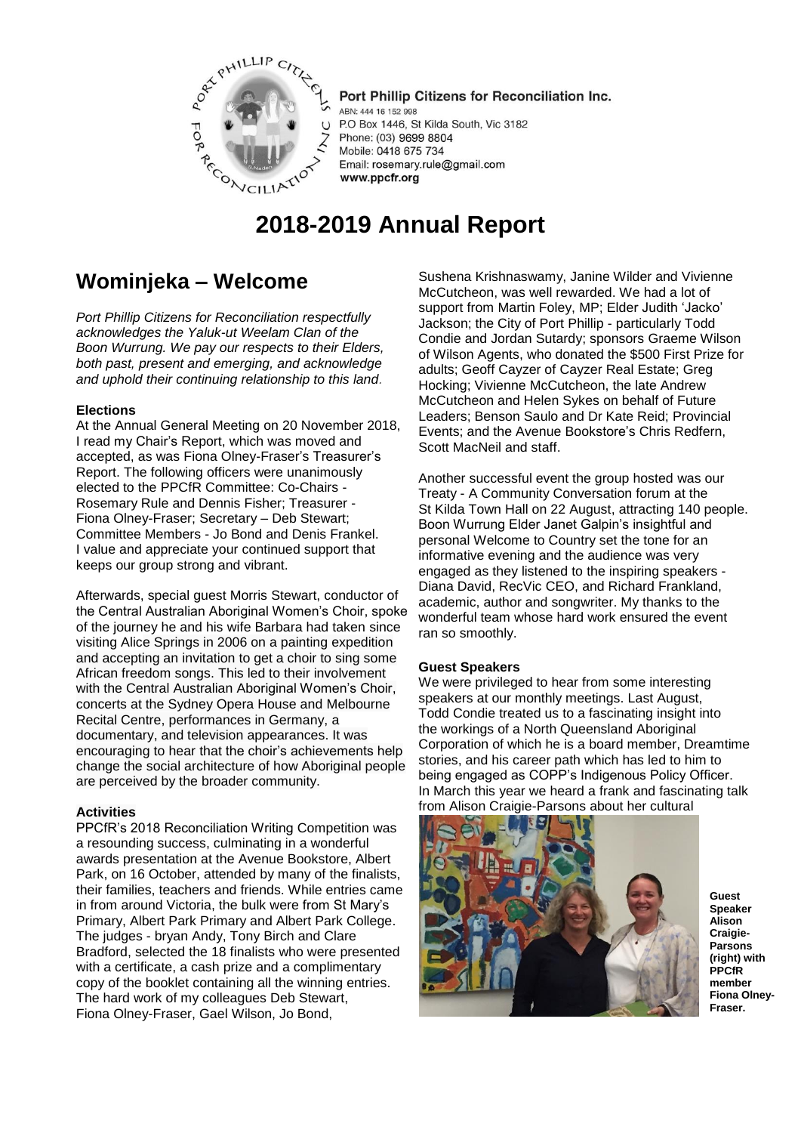

Port Phillip Citizens for Reconciliation Inc. ABN: 444 16 152 998 P.O Box 1446, St Kilda South, Vic 3182 Phone: (03) 9699 8804 Mobile: 0418 675 734 Email: rosemary.rule@gmail.com www.ppcfr.org

# **2018-2019 Annual Report**

# **Wominjeka – Welcome**

*Port Phillip Citizens for Reconciliation respectfully acknowledges the Yaluk-ut Weelam Clan of the Boon Wurrung. We pay our respects to their Elders, both past, present and emerging, and acknowledge and uphold their continuing relationship to this land.*

# **Elections**

At the Annual General Meeting on 20 November 2018, I read my Chair's Report, which was moved and accepted, as was Fiona Olney-Fraser's Treasurer's Report. The following officers were unanimously elected to the PPCfR Committee: Co-Chairs - Rosemary Rule and Dennis Fisher; Treasurer - Fiona Olney-Fraser; Secretary – Deb Stewart; Committee Members - Jo Bond and Denis Frankel. I value and appreciate your continued support that keeps our group strong and vibrant.

Afterwards, special guest Morris Stewart, conductor of the Central Australian Aboriginal Women's Choir, spoke of the journey he and his wife Barbara had taken since visiting Alice Springs in 2006 on a painting expedition and accepting an invitation to get a choir to sing some African freedom songs. This led to their involvement with the Central Australian Aboriginal Women's Choir, concerts at the Sydney Opera House and Melbourne Recital Centre, performances in Germany, a documentary, and television appearances. It was encouraging to hear that the choir's achievements help change the social architecture of how Aboriginal people are perceived by the broader community.

# **Activities**

PPCfR's 2018 Reconciliation Writing Competition was a resounding success, culminating in a wonderful awards presentation at the Avenue Bookstore, Albert Park, on 16 October, attended by many of the finalists, their families, teachers and friends. While entries came in from around Victoria, the bulk were from St Mary's Primary, Albert Park Primary and Albert Park College. The judges - bryan Andy, Tony Birch and Clare Bradford, selected the 18 finalists who were presented with a certificate, a cash prize and a complimentary copy of the booklet containing all the winning entries. The hard work of my colleagues Deb Stewart, Fiona Olney-Fraser, Gael Wilson, Jo Bond,

Sushena Krishnaswamy, Janine Wilder and Vivienne McCutcheon, was well rewarded. We had a lot of support from Martin Foley, MP; Elder Judith 'Jacko' Jackson; the City of Port Phillip - particularly Todd Condie and Jordan Sutardy; sponsors Graeme Wilson of Wilson Agents, who donated the \$500 First Prize for adults; Geoff Cayzer of Cayzer Real Estate; Greg Hocking; Vivienne McCutcheon, the late Andrew McCutcheon and Helen Sykes on behalf of Future Leaders; Benson Saulo and Dr Kate Reid; Provincial Events; and the Avenue Bookstore's Chris Redfern, Scott MacNeil and staff.

Another successful event the group hosted was our Treaty - A Community Conversation forum at the St Kilda Town Hall on 22 August, attracting 140 people. Boon Wurrung Elder Janet Galpin's insightful and personal Welcome to Country set the tone for an informative evening and the audience was very engaged as they listened to the inspiring speakers - Diana David, RecVic CEO, and Richard Frankland, academic, author and songwriter. My thanks to the wonderful team whose hard work ensured the event ran so smoothly.

# **Guest Speakers**

We were privileged to hear from some interesting speakers at our monthly meetings. Last August, Todd Condie treated us to a fascinating insight into the workings of a North Queensland Aboriginal Corporation of which he is a board member, Dreamtime stories, and his career path which has led to him to being engaged as COPP's Indigenous Policy Officer. In March this year we heard a frank and fascinating talk from Alison Craigie-Parsons about her cultural



**Guest Speaker Alison Craigie-Parsons (right) with PPCfR member Fiona Olney-Fraser.**